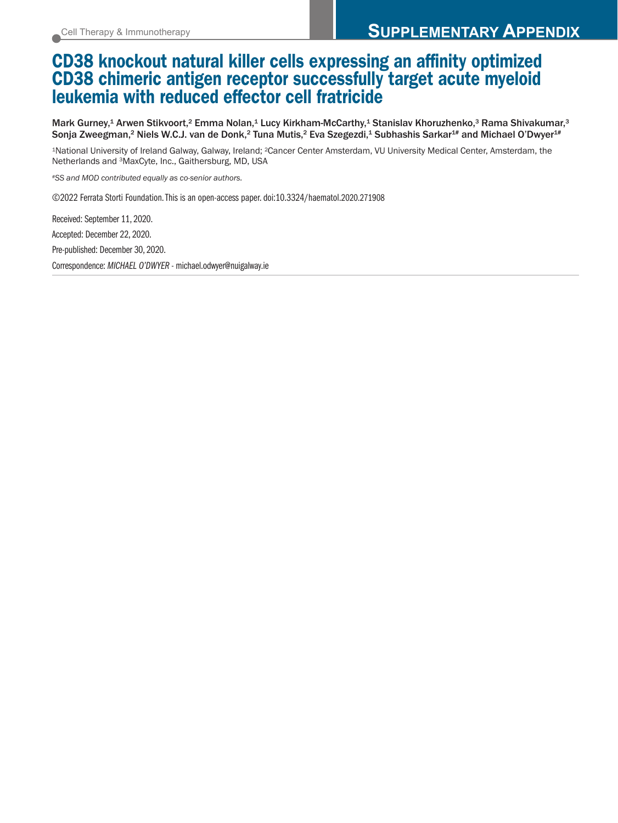## CD38 knockout natural killer cells expressing an affinity optimized CD38 chimeric antigen receptor successfully target acute myeloid leukemia with reduced effector cell fratricide

Mark Gurney,<sup>1</sup> Arwen Stikvoort,<sup>2</sup> Emma Nolan,<sup>1</sup> Lucy Kirkham-McCarthy,<sup>1</sup> Stanislav Khoruzhenko,<sup>3</sup> Rama Shivakumar,<sup>3</sup> Sonja Zweegman,<sup>2</sup> Niels W.C.J. van de Donk,<sup>2</sup> Tuna Mutis,<sup>2</sup> Eva Szegezdi,<sup>1</sup> Subhashis Sarkar<sup>1#</sup> and Michael O'Dwyer<sup>1#</sup>

1National University of Ireland Galway, Galway, Ireland; 2Cancer Center Amsterdam, VU University Medical Center, Amsterdam, the Netherlands and 3MaxCyte, Inc., Gaithersburg, MD, USA

*#SS and MOD contributed equally as co-senior authors.* 

©2022 Ferrata Storti Foundation. This is an open-access paper. doi:10.3324/haematol.2020.271908

Received: September 11, 2020. Accepted: December 22, 2020. Pre-published: December 30, 2020. Correspondence: *MICHAEL O'DWYER* - michael.odwyer@nuigalway.ie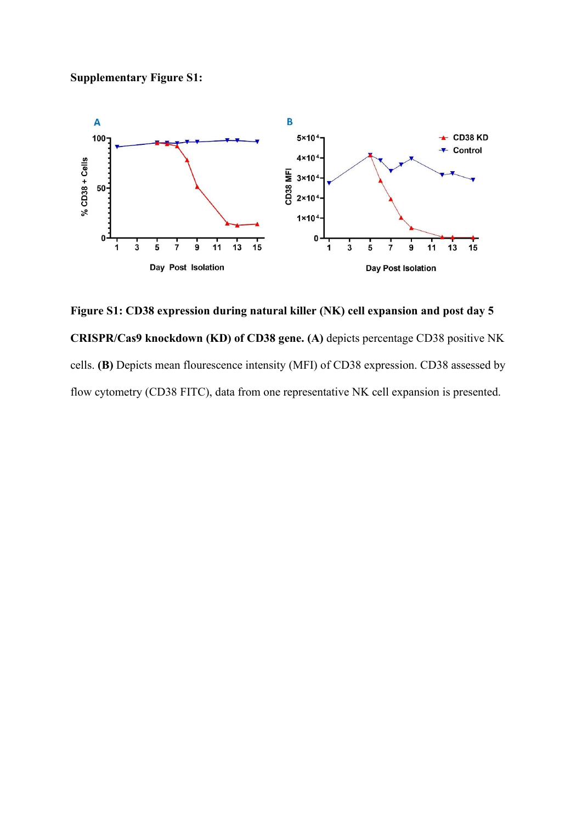

**Figure S1: CD38 expression during natural killer (NK) cell expansion and post day 5 CRISPR/Cas9 knockdown (KD) of CD38 gene. (A)** depicts percentage CD38 positive NK cells. **(B)** Depicts mean flourescence intensity (MFI) of CD38 expression. CD38 assessed by flow cytometry (CD38 FITC), data from one representative NK cell expansion is presented.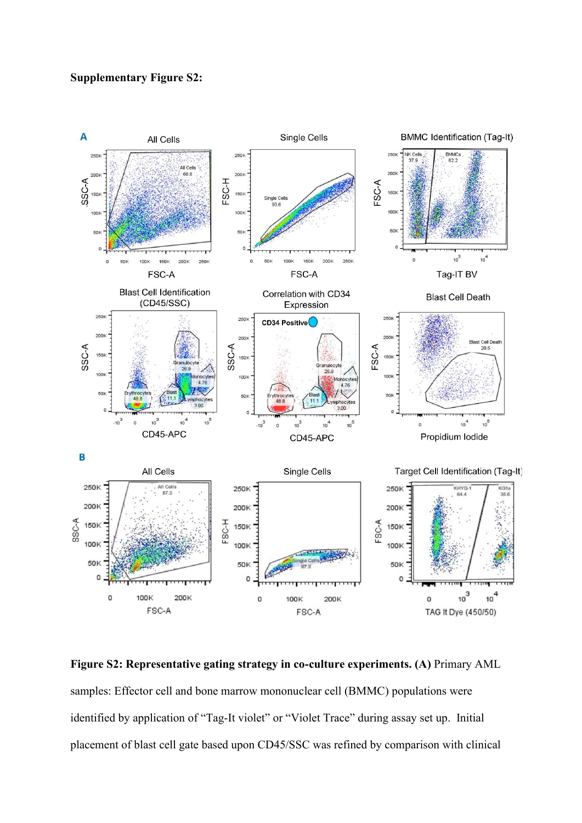## **Supplementary Figure S2:**



**Figure S2: Representative gating strategy in co-culture experiments. (A)** Primary AML samples: Effector cell and bone marrow mononuclear cell (BMMC) populations were identified by application of "Tag-It violet" or "Violet Trace" during assay set up. Initial placement of blast cell gate based upon CD45/SSC was refined by comparison with clinical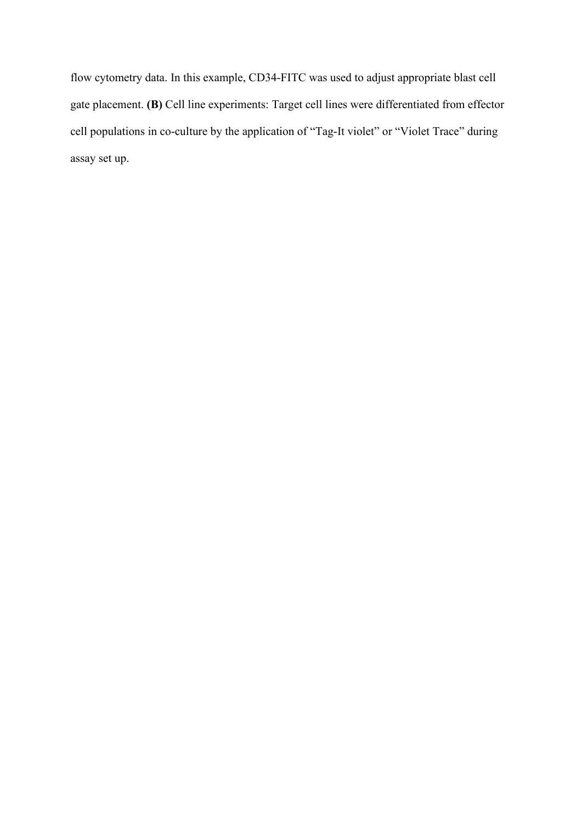flow cytometry data. In this example, CD34-FITC was used to adjust appropriate blast cell gate placement. **(B)** Cell line experiments: Target cell lines were differentiated from effector cell populations in co-culture by the application of "Tag-It violet" or "Violet Trace" during assay set up.